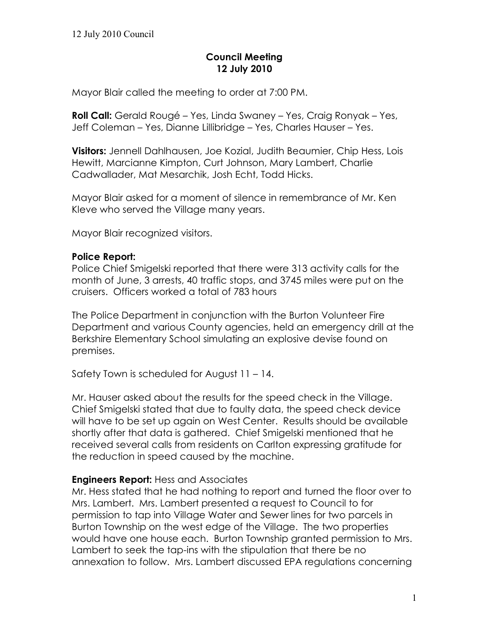# **Council Meeting 12 July 2010**

Mayor Blair called the meeting to order at 7:00 PM.

**Roll Call:** Gerald Rougé – Yes, Linda Swaney – Yes, Craig Ronyak – Yes, Jeff Coleman – Yes, Dianne Lillibridge – Yes, Charles Hauser – Yes.

**Visitors:** Jennell Dahlhausen, Joe Kozial, Judith Beaumier, Chip Hess, Lois Hewitt, Marcianne Kimpton, Curt Johnson, Mary Lambert, Charlie Cadwallader, Mat Mesarchik, Josh Echt, Todd Hicks.

Mayor Blair asked for a moment of silence in remembrance of Mr. Ken Kleve who served the Village many years.

Mayor Blair recognized visitors.

### **Police Report:**

Police Chief Smigelski reported that there were 313 activity calls for the month of June, 3 arrests, 40 traffic stops, and 3745 miles were put on the cruisers. Officers worked a total of 783 hours

The Police Department in conjunction with the Burton Volunteer Fire Department and various County agencies, held an emergency drill at the Berkshire Elementary School simulating an explosive devise found on premises.

Safety Town is scheduled for August 11 – 14.

Mr. Hauser asked about the results for the speed check in the Village. Chief Smigelski stated that due to faulty data, the speed check device will have to be set up again on West Center. Results should be available shortly after that data is gathered. Chief Smigelski mentioned that he received several calls from residents on Carlton expressing gratitude for the reduction in speed caused by the machine.

### **Engineers Report:** Hess and Associates

Mr. Hess stated that he had nothing to report and turned the floor over to Mrs. Lambert. Mrs. Lambert presented a request to Council to for permission to tap into Village Water and Sewer lines for two parcels in Burton Township on the west edge of the Village. The two properties would have one house each. Burton Township granted permission to Mrs. Lambert to seek the tap-ins with the stipulation that there be no annexation to follow. Mrs. Lambert discussed EPA regulations concerning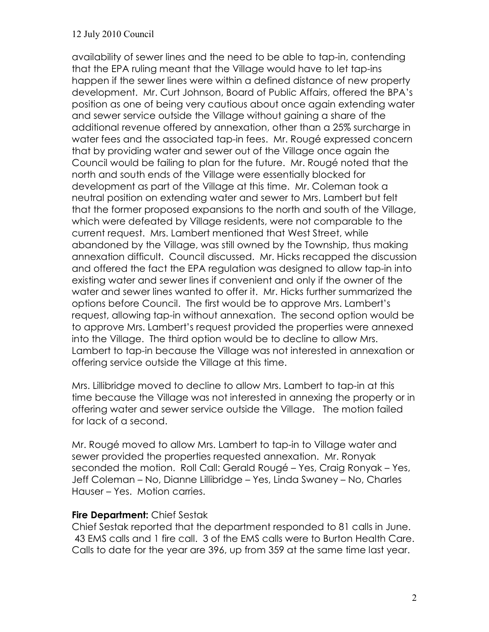#### 12 July 2010 Council

availability of sewer lines and the need to be able to tap-in, contending that the EPA ruling meant that the Village would have to let tap-ins happen if the sewer lines were within a defined distance of new property development. Mr. Curt Johnson, Board of Public Affairs, offered the BPA's position as one of being very cautious about once again extending water and sewer service outside the Village without gaining a share of the additional revenue offered by annexation, other than a 25% surcharge in water fees and the associated tap-in fees. Mr. Rougé expressed concern that by providing water and sewer out of the Village once again the Council would be failing to plan for the future. Mr. Rougé noted that the north and south ends of the Village were essentially blocked for development as part of the Village at this time. Mr. Coleman took a neutral position on extending water and sewer to Mrs. Lambert but felt that the former proposed expansions to the north and south of the Village, which were defeated by Village residents, were not comparable to the current request. Mrs. Lambert mentioned that West Street, while abandoned by the Village, was still owned by the Township, thus making annexation difficult. Council discussed. Mr. Hicks recapped the discussion and offered the fact the EPA regulation was designed to allow tap-in into existing water and sewer lines if convenient and only if the owner of the water and sewer lines wanted to offer it. Mr. Hicks further summarized the options before Council. The first would be to approve Mrs. Lambert's request, allowing tap-in without annexation. The second option would be to approve Mrs. Lambert's request provided the properties were annexed into the Village. The third option would be to decline to allow Mrs. Lambert to tap-in because the Village was not interested in annexation or offering service outside the Village at this time.

Mrs. Lillibridge moved to decline to allow Mrs. Lambert to tap-in at this time because the Village was not interested in annexing the property or in offering water and sewer service outside the Village. The motion failed for lack of a second.

Mr. Rougé moved to allow Mrs. Lambert to tap-in to Village water and sewer provided the properties requested annexation. Mr. Ronyak seconded the motion. Roll Call: Gerald Rougé – Yes, Craig Ronyak – Yes, Jeff Coleman – No, Dianne Lillibridge – Yes, Linda Swaney – No, Charles Hauser – Yes. Motion carries.

### **Fire Department:** Chief Sestak

Chief Sestak reported that the department responded to 81 calls in June. 43 EMS calls and 1 fire call. 3 of the EMS calls were to Burton Health Care. Calls to date for the year are 396, up from 359 at the same time last year.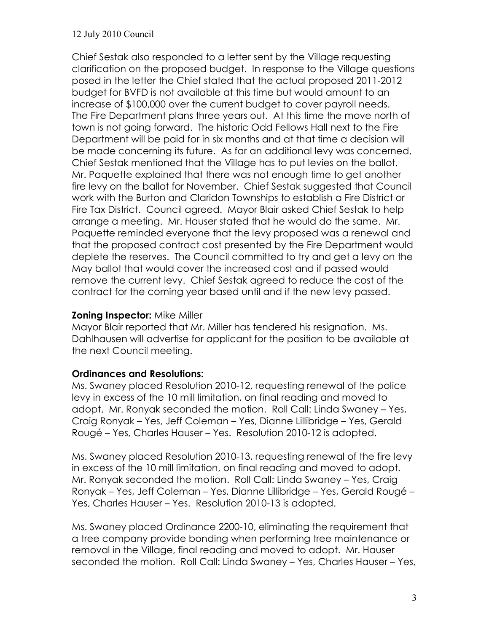#### 12 July 2010 Council

Chief Sestak also responded to a letter sent by the Village requesting clarification on the proposed budget. In response to the Village questions posed in the letter the Chief stated that the actual proposed 2011-2012 budget for BVFD is not available at this time but would amount to an increase of \$100,000 over the current budget to cover payroll needs. The Fire Department plans three years out. At this time the move north of town is not going forward. The historic Odd Fellows Hall next to the Fire Department will be paid for in six months and at that time a decision will be made concerning its future. As far an additional levy was concerned, Chief Sestak mentioned that the Village has to put levies on the ballot. Mr. Paquette explained that there was not enough time to get another fire levy on the ballot for November. Chief Sestak suggested that Council work with the Burton and Claridon Townships to establish a Fire District or Fire Tax District. Council agreed. Mayor Blair asked Chief Sestak to help arrange a meeting. Mr. Hauser stated that he would do the same. Mr. Paquette reminded everyone that the levy proposed was a renewal and that the proposed contract cost presented by the Fire Department would deplete the reserves. The Council committed to try and get a levy on the May ballot that would cover the increased cost and if passed would remove the current levy. Chief Sestak agreed to reduce the cost of the contract for the coming year based until and if the new levy passed.

#### **Zoning Inspector:** Mike Miller

Mayor Blair reported that Mr. Miller has tendered his resignation. Ms. Dahlhausen will advertise for applicant for the position to be available at the next Council meeting.

### **Ordinances and Resolutions:**

Ms. Swaney placed Resolution 2010-12, requesting renewal of the police levy in excess of the 10 mill limitation, on final reading and moved to adopt. Mr. Ronyak seconded the motion. Roll Call: Linda Swaney – Yes, Craig Ronyak – Yes, Jeff Coleman – Yes, Dianne Lillibridge – Yes, Gerald Rougé – Yes, Charles Hauser – Yes. Resolution 2010-12 is adopted.

Ms. Swaney placed Resolution 2010-13, requesting renewal of the fire levy in excess of the 10 mill limitation, on final reading and moved to adopt. Mr. Ronyak seconded the motion. Roll Call: Linda Swaney – Yes, Craig Ronyak – Yes, Jeff Coleman – Yes, Dianne Lillibridge – Yes, Gerald Rougé – Yes, Charles Hauser – Yes. Resolution 2010-13 is adopted.

Ms. Swaney placed Ordinance 2200-10, eliminating the requirement that a tree company provide bonding when performing tree maintenance or removal in the Village, final reading and moved to adopt. Mr. Hauser seconded the motion. Roll Call: Linda Swaney – Yes, Charles Hauser – Yes,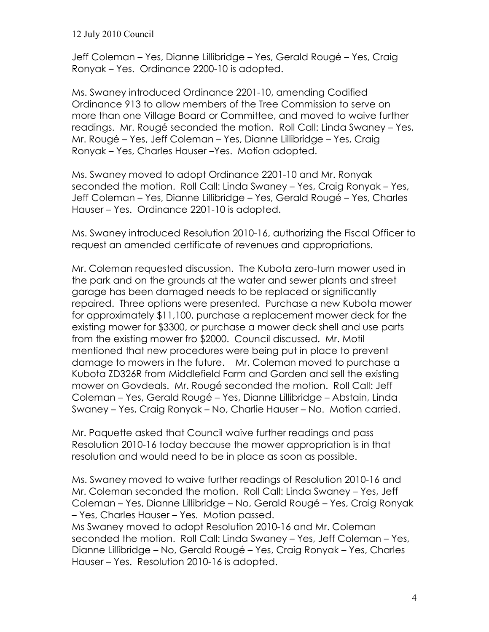12 July 2010 Council

Jeff Coleman – Yes, Dianne Lillibridge – Yes, Gerald Rougé – Yes, Craig Ronyak – Yes. Ordinance 2200-10 is adopted.

Ms. Swaney introduced Ordinance 2201-10, amending Codified Ordinance 913 to allow members of the Tree Commission to serve on more than one Village Board or Committee, and moved to waive further readings. Mr. Rougé seconded the motion. Roll Call: Linda Swaney – Yes, Mr. Rougé – Yes, Jeff Coleman – Yes, Dianne Lillibridge – Yes, Craig Ronyak – Yes, Charles Hauser –Yes. Motion adopted.

Ms. Swaney moved to adopt Ordinance 2201-10 and Mr. Ronyak seconded the motion. Roll Call: Linda Swaney – Yes, Craig Ronyak – Yes, Jeff Coleman – Yes, Dianne Lillibridge – Yes, Gerald Rougé – Yes, Charles Hauser – Yes. Ordinance 2201-10 is adopted.

Ms. Swaney introduced Resolution 2010-16, authorizing the Fiscal Officer to request an amended certificate of revenues and appropriations.

Mr. Coleman requested discussion. The Kubota zero-turn mower used in the park and on the grounds at the water and sewer plants and street garage has been damaged needs to be replaced or significantly repaired. Three options were presented. Purchase a new Kubota mower for approximately \$11,100, purchase a replacement mower deck for the existing mower for \$3300, or purchase a mower deck shell and use parts from the existing mower fro \$2000. Council discussed. Mr. Motil mentioned that new procedures were being put in place to prevent damage to mowers in the future. Mr. Coleman moved to purchase a Kubota ZD326R from Middlefield Farm and Garden and sell the existing mower on Govdeals. Mr. Rougé seconded the motion. Roll Call: Jeff Coleman – Yes, Gerald Rougé – Yes, Dianne Lillibridge – Abstain, Linda Swaney – Yes, Craig Ronyak – No, Charlie Hauser – No. Motion carried.

Mr. Paquette asked that Council waive further readings and pass Resolution 2010-16 today because the mower appropriation is in that resolution and would need to be in place as soon as possible.

Ms. Swaney moved to waive further readings of Resolution 2010-16 and Mr. Coleman seconded the motion. Roll Call: Linda Swaney – Yes, Jeff Coleman – Yes, Dianne Lillibridge – No, Gerald Rougé – Yes, Craig Ronyak – Yes, Charles Hauser – Yes. Motion passed.

Ms Swaney moved to adopt Resolution 2010-16 and Mr. Coleman seconded the motion. Roll Call: Linda Swaney – Yes, Jeff Coleman – Yes, Dianne Lillibridge – No, Gerald Rougé – Yes, Craig Ronyak – Yes, Charles Hauser – Yes. Resolution 2010-16 is adopted.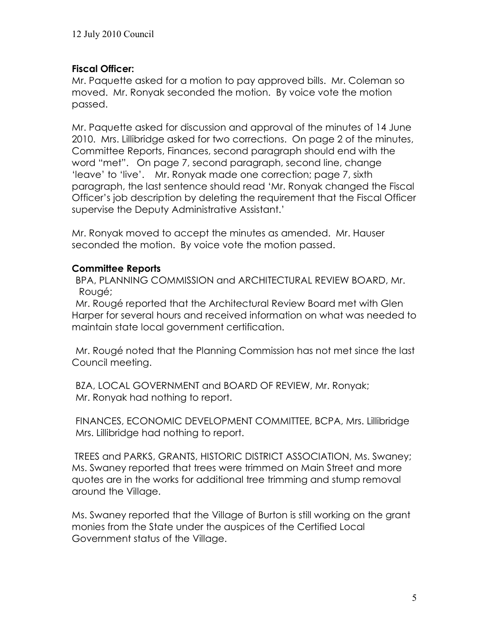# **Fiscal Officer:**

Mr. Paquette asked for a motion to pay approved bills. Mr. Coleman so moved. Mr. Ronyak seconded the motion. By voice vote the motion passed.

Mr. Paquette asked for discussion and approval of the minutes of 14 June 2010. Mrs. Lillibridge asked for two corrections. On page 2 of the minutes, Committee Reports, Finances, second paragraph should end with the word "met". On page 7, second paragraph, second line, change 'leave' to 'live'. Mr. Ronyak made one correction; page 7, sixth paragraph, the last sentence should read 'Mr. Ronyak changed the Fiscal Officer's job description by deleting the requirement that the Fiscal Officer supervise the Deputy Administrative Assistant.'

Mr. Ronyak moved to accept the minutes as amended. Mr. Hauser seconded the motion. By voice vote the motion passed.

# **Committee Reports**

BPA, PLANNING COMMISSION and ARCHITECTURAL REVIEW BOARD, Mr. Rougé;

Mr. Rougé reported that the Architectural Review Board met with Glen Harper for several hours and received information on what was needed to maintain state local government certification.

Mr. Rougé noted that the Planning Commission has not met since the last Council meeting.

BZA, LOCAL GOVERNMENT and BOARD OF REVIEW, Mr. Ronyak; Mr. Ronyak had nothing to report.

FINANCES, ECONOMIC DEVELOPMENT COMMITTEE, BCPA, Mrs. Lillibridge Mrs. Lillibridge had nothing to report.

 TREES and PARKS, GRANTS, HISTORIC DISTRICT ASSOCIATION, Ms. Swaney; Ms. Swaney reported that trees were trimmed on Main Street and more quotes are in the works for additional tree trimming and stump removal around the Village.

Ms. Swaney reported that the Village of Burton is still working on the grant monies from the State under the auspices of the Certified Local Government status of the Village.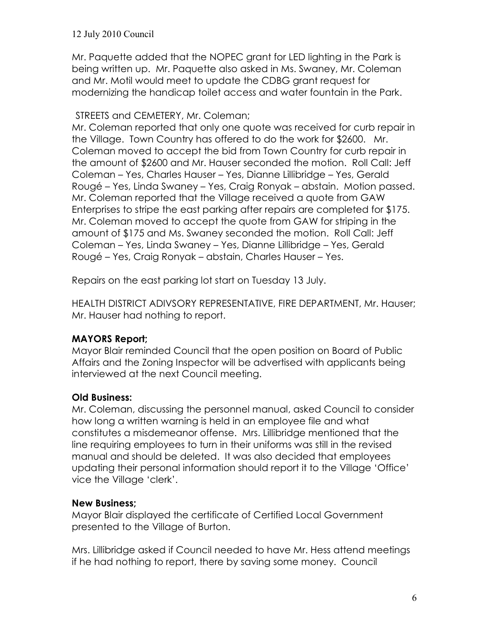Mr. Paquette added that the NOPEC grant for LED lighting in the Park is being written up. Mr. Paquette also asked in Ms. Swaney, Mr. Coleman and Mr. Motil would meet to update the CDBG grant request for modernizing the handicap toilet access and water fountain in the Park.

### STREETS and CEMETERY, Mr. Coleman;

Mr. Coleman reported that only one quote was received for curb repair in the Village. Town Country has offered to do the work for \$2600. Mr. Coleman moved to accept the bid from Town Country for curb repair in the amount of \$2600 and Mr. Hauser seconded the motion. Roll Call: Jeff Coleman – Yes, Charles Hauser – Yes, Dianne Lillibridge – Yes, Gerald Rougé – Yes, Linda Swaney – Yes, Craig Ronyak – abstain. Motion passed. Mr. Coleman reported that the Village received a quote from GAW Enterprises to stripe the east parking after repairs are completed for \$175. Mr. Coleman moved to accept the quote from GAW for striping in the amount of \$175 and Ms. Swaney seconded the motion. Roll Call: Jeff Coleman – Yes, Linda Swaney – Yes, Dianne Lillibridge – Yes, Gerald Rougé – Yes, Craig Ronyak – abstain, Charles Hauser – Yes.

Repairs on the east parking lot start on Tuesday 13 July.

HEALTH DISTRICT ADIVSORY REPRESENTATIVE, FIRE DEPARTMENT, Mr. Hauser; Mr. Hauser had nothing to report.

# **MAYORS Report;**

Mayor Blair reminded Council that the open position on Board of Public Affairs and the Zoning Inspector will be advertised with applicants being interviewed at the next Council meeting.

## **Old Business:**

Mr. Coleman, discussing the personnel manual, asked Council to consider how long a written warning is held in an employee file and what constitutes a misdemeanor offense. Mrs. Lillibridge mentioned that the line requiring employees to turn in their uniforms was still in the revised manual and should be deleted. It was also decided that employees updating their personal information should report it to the Village 'Office' vice the Village 'clerk'.

## **New Business;**

Mayor Blair displayed the certificate of Certified Local Government presented to the Village of Burton.

Mrs. Lillibridge asked if Council needed to have Mr. Hess attend meetings if he had nothing to report, there by saving some money. Council